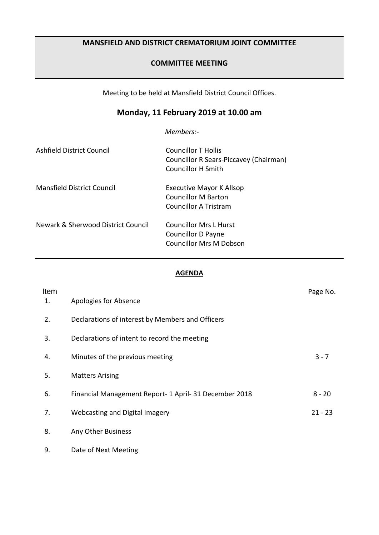## **MANSFIELD AND DISTRICT CREMATORIUM JOINT COMMITTEE**

### **COMMITTEE MEETING**

Meeting to be held at Mansfield District Council Offices.

# **Monday, 11 February 2019 at 10.00 am**

*Members:-*

| Ashfield District Council          | Councillor T Hollis<br>Councillor R Sears-Piccavey (Chairman)<br><b>Councillor H Smith</b> |
|------------------------------------|--------------------------------------------------------------------------------------------|
| Mansfield District Council         | <b>Executive Mayor K Allsop</b><br>Councillor M Barton<br>Councillor A Tristram            |
| Newark & Sherwood District Council | Councillor Mrs L Hurst<br>Councillor D Payne<br>Councillor Mrs M Dobson                    |

#### **AGENDA**

| Item<br>1. | Apologies for Absence                                  | Page No.  |
|------------|--------------------------------------------------------|-----------|
| 2.         | Declarations of interest by Members and Officers       |           |
| 3.         | Declarations of intent to record the meeting           |           |
| 4.         | Minutes of the previous meeting                        | $3 - 7$   |
| 5.         | <b>Matters Arising</b>                                 |           |
| 6.         | Financial Management Report- 1 April- 31 December 2018 | $8 - 20$  |
| 7.         | Webcasting and Digital Imagery                         | $21 - 23$ |
| 8.         | Any Other Business                                     |           |
| 9.         | Date of Next Meeting                                   |           |